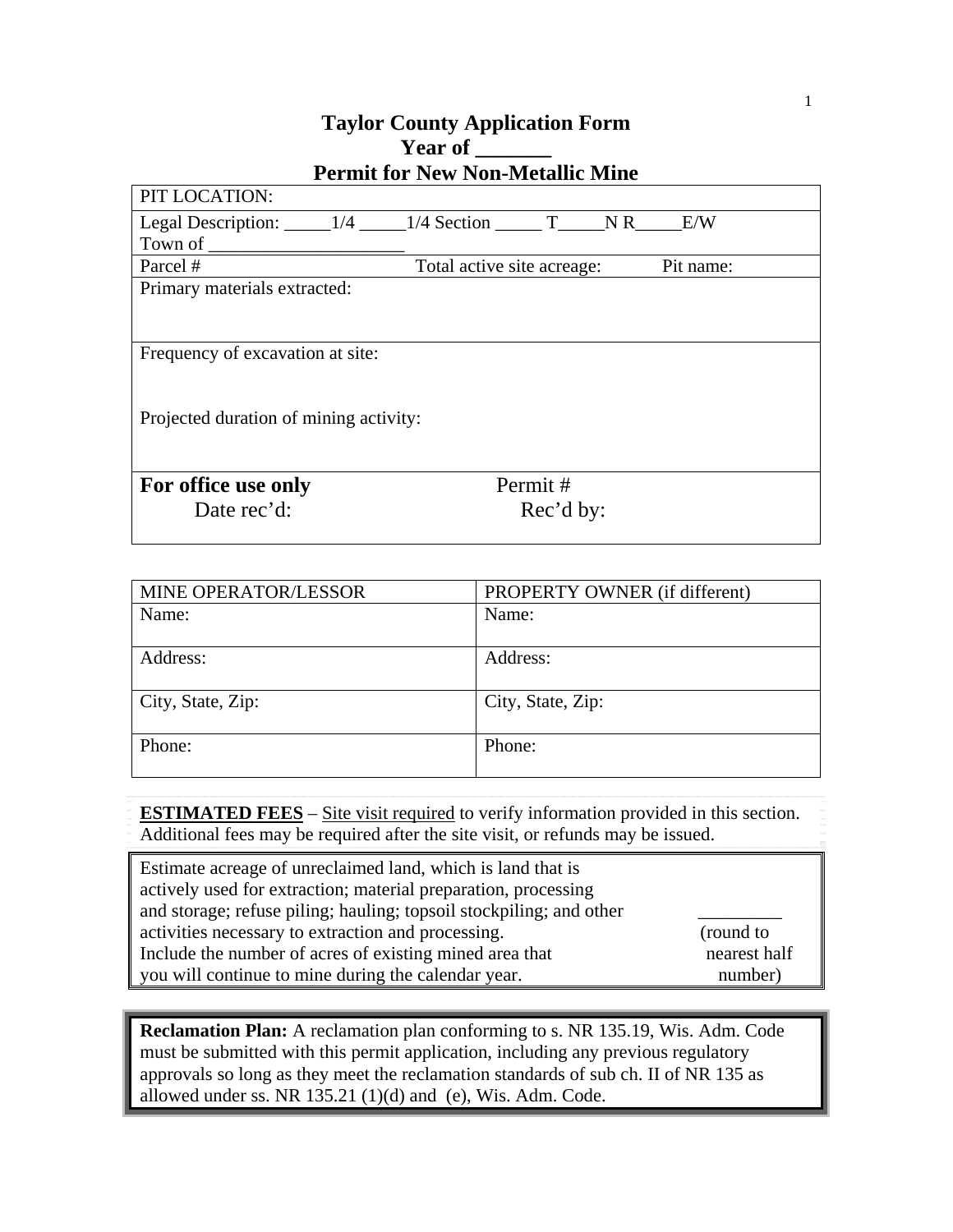## **Taylor County Application Form Year of \_\_\_\_\_\_\_ Permit for New Non-Metallic Mine**

| PIT LOCATION:                          |                            |           |     |           |  |
|----------------------------------------|----------------------------|-----------|-----|-----------|--|
| Legal Description: $\_\_$ 1/4          | $1/4$ Section T            |           | NR. | E/W       |  |
| Town of                                |                            |           |     |           |  |
| Parcel #                               | Total active site acreage: |           |     | Pit name: |  |
| Primary materials extracted:           |                            |           |     |           |  |
|                                        |                            |           |     |           |  |
|                                        |                            |           |     |           |  |
| Frequency of excavation at site:       |                            |           |     |           |  |
|                                        |                            |           |     |           |  |
|                                        |                            |           |     |           |  |
| Projected duration of mining activity: |                            |           |     |           |  |
|                                        |                            |           |     |           |  |
|                                        |                            |           |     |           |  |
| For office use only                    |                            | Permit#   |     |           |  |
| Date rec'd:                            |                            | Rec'd by: |     |           |  |
|                                        |                            |           |     |           |  |

| MINE OPERATOR/LESSOR | PROPERTY OWNER (if different) |  |
|----------------------|-------------------------------|--|
| Name:                | Name:                         |  |
|                      |                               |  |
| Address:             | Address:                      |  |
|                      |                               |  |
| City, State, Zip:    | City, State, Zip:             |  |
|                      |                               |  |
| Phone:               | Phone:                        |  |
|                      |                               |  |

**ESTIMATED FEES** – Site visit required to verify information provided in this section. Additional fees may be required after the site visit, or refunds may be issued.

| Estimate acreage of unreclaimed land, which is land that is         |              |
|---------------------------------------------------------------------|--------------|
| actively used for extraction; material preparation, processing      |              |
| and storage; refuse piling; hauling; topsoil stockpiling; and other |              |
| activities necessary to extraction and processing.                  | (round to    |
| Include the number of acres of existing mined area that             | nearest half |
| you will continue to mine during the calendar year.                 | number)      |

**Reclamation Plan:** A reclamation plan conforming to s. NR 135.19, Wis. Adm. Code must be submitted with this permit application, including any previous regulatory approvals so long as they meet the reclamation standards of sub ch. II of NR 135 as allowed under ss. NR  $135.21$  (1)(d) and (e), Wis. Adm. Code.